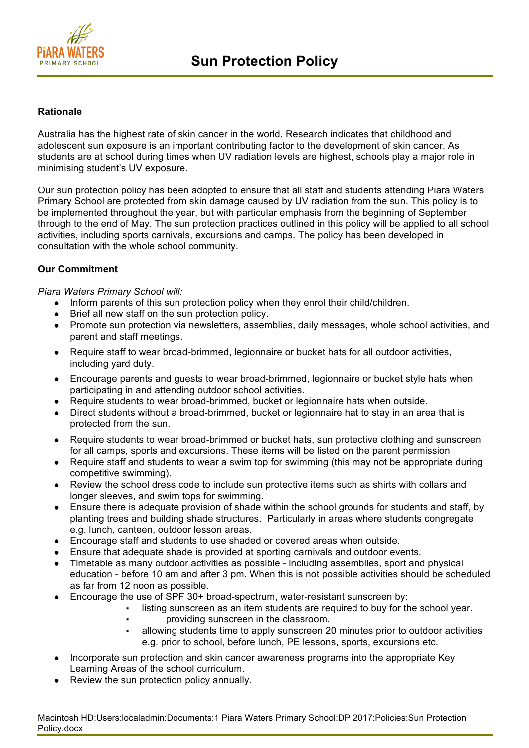

## **Rationale**

Australia has the highest rate of skin cancer in the world. Research indicates that childhood and adolescent sun exposure is an important contributing factor to the development of skin cancer. As students are at school during times when UV radiation levels are highest, schools play a major role in minimising student's UV exposure.

Our sun protection policy has been adopted to ensure that all staff and students attending Piara Waters Primary School are protected from skin damage caused by UV radiation from the sun. This policy is to be implemented throughout the year, but with particular emphasis from the beginning of September through to the end of May. The sun protection practices outlined in this policy will be applied to all school activities, including sports carnivals, excursions and camps. The policy has been developed in consultation with the whole school community.

# **Our Commitment**

*Piara Waters Primary School will:*

- Inform parents of this sun protection policy when they enrol their child/children.
- Brief all new staff on the sun protection policy.
- Promote sun protection via newsletters, assemblies, daily messages, whole school activities, and parent and staff meetings.
- Require staff to wear broad-brimmed, legionnaire or bucket hats for all outdoor activities, including yard duty.
- Encourage parents and quests to wear broad-brimmed, legionnaire or bucket style hats when participating in and attending outdoor school activities.
- Require students to wear broad-brimmed, bucket or legionnaire hats when outside.
- Direct students without a broad-brimmed, bucket or legionnaire hat to stay in an area that is protected from the sun.
- Require students to wear broad-brimmed or bucket hats, sun protective clothing and sunscreen for all camps, sports and excursions. These items will be listed on the parent permission
- Require staff and students to wear a swim top for swimming (this may not be appropriate during competitive swimming).
- Review the school dress code to include sun protective items such as shirts with collars and longer sleeves, and swim tops for swimming.
- Ensure there is adequate provision of shade within the school grounds for students and staff, by planting trees and building shade structures. Particularly in areas where students congregate e.g. lunch, canteen, outdoor lesson areas.
- Encourage staff and students to use shaded or covered areas when outside.
- Ensure that adequate shade is provided at sporting carnivals and outdoor events.
- Timetable as many outdoor activities as possible including assemblies, sport and physical education - before 10 am and after 3 pm. When this is not possible activities should be scheduled as far from 12 noon as possible.
- Encourage the use of SPF 30+ broad-spectrum, water-resistant sunscreen by:
	- listing sunscreen as an item students are required to buy for the school year.
		- providing sunscreen in the classroom.
	- allowing students time to apply sunscreen 20 minutes prior to outdoor activities e.g. prior to school, before lunch, PE lessons, sports, excursions etc.
- Incorporate sun protection and skin cancer awareness programs into the appropriate Key Learning Areas of the school curriculum.
- Review the sun protection policy annually.

Macintosh HD:Users:localadmin:Documents:1 Piara Waters Primary School:DP 2017:Policies:Sun Protection Policy.docx